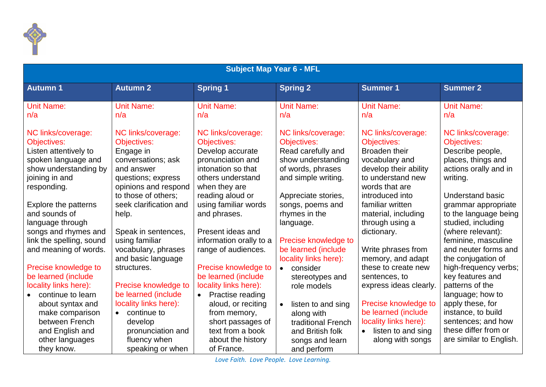

| <b>Subject Map Year 6 - MFL</b>             |                                   |                         |                                |                                          |                                           |  |
|---------------------------------------------|-----------------------------------|-------------------------|--------------------------------|------------------------------------------|-------------------------------------------|--|
| <b>Autumn 1</b>                             | <b>Autumn 2</b>                   | <b>Spring 1</b>         | <b>Spring 2</b>                | <b>Summer 1</b>                          | <b>Summer 2</b>                           |  |
| <b>Unit Name:</b>                           | <b>Unit Name:</b>                 | <b>Unit Name:</b>       | <b>Unit Name:</b>              | <b>Unit Name:</b>                        | <b>Unit Name:</b>                         |  |
| n/a                                         | n/a                               | n/a                     | n/a                            | n/a                                      | n/a                                       |  |
| NC links/coverage:                          | NC links/coverage:                | NC links/coverage:      | NC links/coverage:             | NC links/coverage:                       | NC links/coverage:                        |  |
| Objectives:                                 | Objectives:                       | Objectives:             | <b>Objectives:</b>             | Objectives:                              | Objectives:                               |  |
| Listen attentively to                       | Engage in                         | Develop accurate        | Read carefully and             | <b>Broaden their</b>                     | Describe people,                          |  |
| spoken language and                         | conversations; ask                | pronunciation and       | show understanding             | vocabulary and                           | places, things and                        |  |
| show understanding by                       | and answer                        | intonation so that      | of words, phrases              | develop their ability                    | actions orally and in                     |  |
| joining in and                              | questions; express                | others understand       | and simple writing.            | to understand new                        | writing.                                  |  |
| responding.                                 | opinions and respond              | when they are           |                                | words that are                           |                                           |  |
|                                             | to those of others;               | reading aloud or        | Appreciate stories,            | introduced into                          | <b>Understand basic</b>                   |  |
| Explore the patterns                        | seek clarification and            | using familiar words    | songs, poems and               | familiar written                         | grammar appropriate                       |  |
| and sounds of                               | help.                             | and phrases.            | rhymes in the                  | material, including                      | to the language being                     |  |
| language through                            |                                   |                         | language.                      | through using a                          | studied, including                        |  |
| songs and rhymes and                        | Speak in sentences,               | Present ideas and       |                                | dictionary.                              | (where relevant):                         |  |
| link the spelling, sound                    | using familiar                    | information orally to a | Precise knowledge to           |                                          | feminine, masculine                       |  |
| and meaning of words.                       | vocabulary, phrases               | range of audiences.     | be learned (include            | Write phrases from                       | and neuter forms and                      |  |
|                                             | and basic language<br>structures. | Precise knowledge to    | locality links here):          | memory, and adapt<br>these to create new | the conjugation of                        |  |
| Precise knowledge to<br>be learned (include |                                   | be learned (include     | • consider                     |                                          | high-frequency verbs;<br>key features and |  |
| locality links here):                       | Precise knowledge to              | locality links here):   | stereotypes and<br>role models | sentences, to<br>express ideas clearly.  | patterns of the                           |  |
| continue to learn<br>$\bullet$              | be learned (include               | • Practise reading      |                                |                                          | language; how to                          |  |
| about syntax and                            | locality links here):             | aloud, or reciting      | listen to and sing             | Precise knowledge to                     | apply these, for                          |  |
| make comparison                             | continue to<br>$\bullet$          | from memory,            | along with                     | be learned (include                      | instance, to build                        |  |
| between French                              | develop                           | short passages of       | traditional French             | locality links here):                    | sentences; and how                        |  |
| and English and                             | pronunciation and                 | text from a book        | and British folk               | listen to and sing                       | these differ from or                      |  |
| other languages                             | fluency when                      | about the history       | songs and learn                | along with songs                         | are similar to English.                   |  |
| they know.                                  | speaking or when                  | of France.              | and perform                    |                                          |                                           |  |

*Love Faith. Love People. Love Learning.*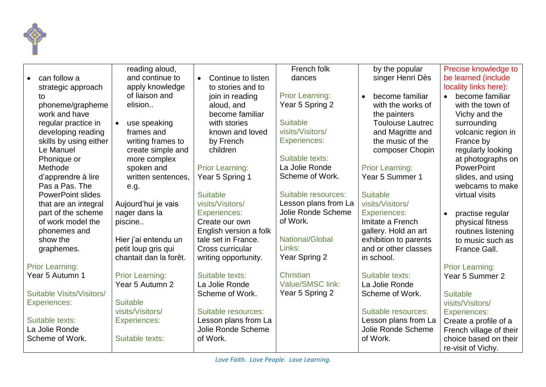

|                           | reading aloud,            |                                 | French folk            | by the popular          | Precise knowledge to          |
|---------------------------|---------------------------|---------------------------------|------------------------|-------------------------|-------------------------------|
| can follow a              | and continue to           | Continue to listen<br>$\bullet$ | dances                 | singer Henri Dès        | be learned (include           |
| strategic approach        | apply knowledge           | to stories and to               |                        |                         | locality links here):         |
| to                        | of liaison and            | join in reading                 | <b>Prior Learning:</b> | become familiar         | become familiar               |
| phoneme/grapheme          | elision                   | aloud, and                      | Year 5 Spring 2        | with the works of       | with the town of              |
| work and have             |                           | become familiar                 |                        | the painters            | Vichy and the                 |
| regular practice in       | use speaking<br>$\bullet$ | with stories                    | <b>Suitable</b>        | <b>Toulouse Lautrec</b> | surrounding                   |
| developing reading        | frames and                | known and loved                 | visits/Visitors/       | and Magritte and        | volcanic region in            |
| skills by using either    | writing frames to         | by French                       | <b>Experiences:</b>    | the music of the        | France by                     |
| Le Manuel                 | create simple and         | children                        |                        | composer Chopin         | regularly looking             |
| Phonique or               | more complex              |                                 | Suitable texts:        |                         | at photographs on             |
| Methode                   | spoken and                | <b>Prior Learning:</b>          | La Jolie Ronde         | <b>Prior Learning:</b>  | PowerPoint                    |
| d'apprendre à lire        | written sentences,        | Year 5 Spring 1                 | Scheme of Work.        | Year 5 Summer 1         | slides, and using             |
| Pas a Pas. The            | e.g.                      |                                 |                        |                         | webcams to make               |
| <b>PowerPoint slides</b>  |                           | <b>Suitable</b>                 | Suitable resources:    | <b>Suitable</b>         | virtual visits                |
| that are an integral      | Aujourd'hui je vais       | visits/Visitors/                | Lesson plans from La   | visits/Visitors/        |                               |
| part of the scheme        | nager dans la             | <b>Experiences:</b>             | Jolie Ronde Scheme     | <b>Experiences:</b>     | practise regular<br>$\bullet$ |
| of work model the         | piscine                   | Create our own                  | of Work.               | Imitate a French        | physical fitness              |
| phonemes and              |                           | English version a folk          |                        | gallery. Hold an art    | routines listening            |
| show the                  | Hier j'ai entendu un      | tale set in France.             | <b>National/Global</b> | exhibition to parents   | to music such as              |
| graphemes.                | petit loup gris qui       | Cross curricular                | Links:                 | and or other classes    | France Gall.                  |
|                           | chantait dan la forêt.    | writing opportunity.            | Year Spring 2          | in school.              |                               |
| <b>Prior Learning:</b>    |                           |                                 |                        |                         | <b>Prior Learning:</b>        |
| Year 5 Autumn 1           | <b>Prior Learning:</b>    | Suitable texts:                 | <b>Christian</b>       | Suitable texts:         | Year 5 Summer 2               |
|                           | Year 5 Autumn 2           | La Jolie Ronde                  | Value/SMSC link:       | La Jolie Ronde          |                               |
| Suitable Visits/Visitors/ |                           | Scheme of Work.                 | Year 5 Spring 2        | Scheme of Work.         | <b>Suitable</b>               |
| <b>Experiences:</b>       | <b>Suitable</b>           |                                 |                        |                         | visits/Visitors/              |
|                           | visits/Visitors/          | Suitable resources:             |                        | Suitable resources:     | <b>Experiences:</b>           |
| Suitable texts:           | <b>Experiences:</b>       | Lesson plans from La            |                        | Lesson plans from La    | Create a profile of a         |
| La Jolie Ronde            |                           | Jolie Ronde Scheme              |                        | Jolie Ronde Scheme      | French village of their       |
| Scheme of Work.           | Suitable texts:           | of Work.                        |                        | of Work.                | choice based on their         |
|                           |                           |                                 |                        |                         | re-visit of Vichy.            |